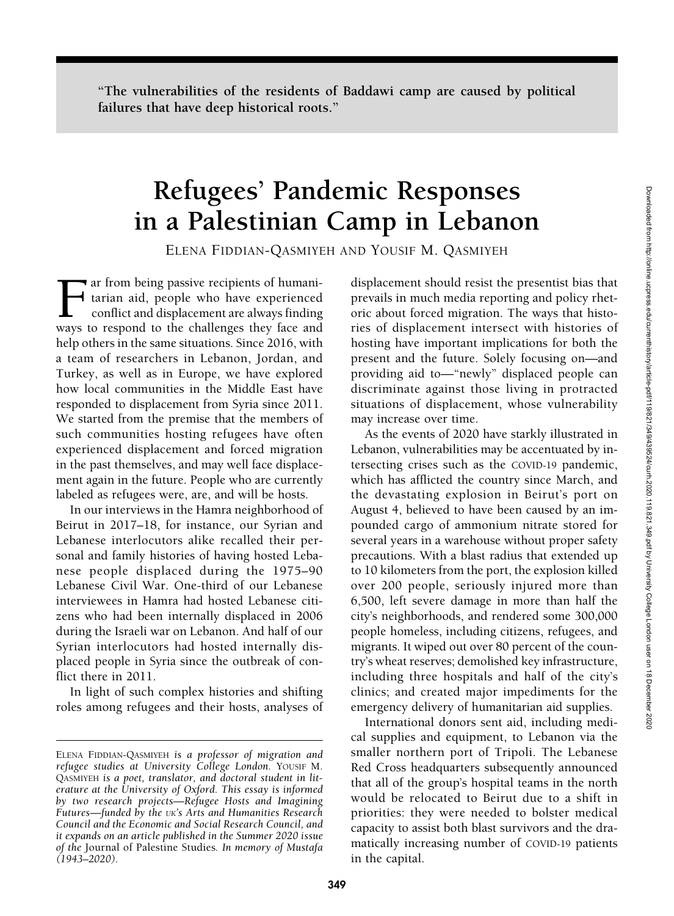"The vulnerabilities of the residents of Baddawi camp are caused by political failures that have deep historical roots."

# Refugees' Pandemic Responses in a Palestinian Camp in Lebanon

ELENA FIDDIAN-QASMIYEH AND YOUSIF M. QASMIYEH

The ar from being passive recipients of humanitarian aid, people who have experienced conflict and displacement are always finding ways to respond to the challenges they face and help others in the same situations. Since 2016, with a team of researchers in Lebanon, Jordan, and Turkey, as well as in Europe, we have explored how local communities in the Middle East have responded to displacement from Syria since 2011. We started from the premise that the members of such communities hosting refugees have often experienced displacement and forced migration in the past themselves, and may well face displacement again in the future. People who are currently labeled as refugees were, are, and will be hosts.

In our interviews in the Hamra neighborhood of Beirut in 2017–18, for instance, our Syrian and Lebanese interlocutors alike recalled their personal and family histories of having hosted Lebanese people displaced during the 1975–90 Lebanese Civil War. One-third of our Lebanese interviewees in Hamra had hosted Lebanese citizens who had been internally displaced in 2006 during the Israeli war on Lebanon. And half of our Syrian interlocutors had hosted internally displaced people in Syria since the outbreak of conflict there in 2011.

In light of such complex histories and shifting roles among refugees and their hosts, analyses of displacement should resist the presentist bias that prevails in much media reporting and policy rhetoric about forced migration. The ways that histories of displacement intersect with histories of hosting have important implications for both the present and the future. Solely focusing on—and providing aid to—"newly" displaced people can discriminate against those living in protracted situations of displacement, whose vulnerability may increase over time.

As the events of 2020 have starkly illustrated in Lebanon, vulnerabilities may be accentuated by intersecting crises such as the COVID-19 pandemic, which has afflicted the country since March, and the devastating explosion in Beirut's port on August 4, believed to have been caused by an impounded cargo of ammonium nitrate stored for several years in a warehouse without proper safety precautions. With a blast radius that extended up to 10 kilometers from the port, the explosion killed over 200 people, seriously injured more than 6,500, left severe damage in more than half the city's neighborhoods, and rendered some 300,000 people homeless, including citizens, refugees, and migrants. It wiped out over 80 percent of the country's wheat reserves; demolished key infrastructure, including three hospitals and half of the city's clinics; and created major impediments for the emergency delivery of humanitarian aid supplies.

International donors sent aid, including medical supplies and equipment, to Lebanon via the smaller northern port of Tripoli. The Lebanese Red Cross headquarters subsequently announced that all of the group's hospital teams in the north would be relocated to Beirut due to a shift in priorities: they were needed to bolster medical capacity to assist both blast survivors and the dramatically increasing number of COVID-19 patients in the capital.

ELENA FIDDIAN-QASMIYEH is a professor of migration and refugee studies at University College London. YOUSIF M. QASMIYEH is a poet, translator, and doctoral student in literature at the University of Oxford. This essay is informed by two research projects—Refugee Hosts and Imagining Futures—funded by the UK's Arts and Humanities Research Council and the Economic and Social Research Council, and it expands on an article published in the Summer 2020 issue of the Journal of Palestine Studies. In memory of Mustafa (1943–2020).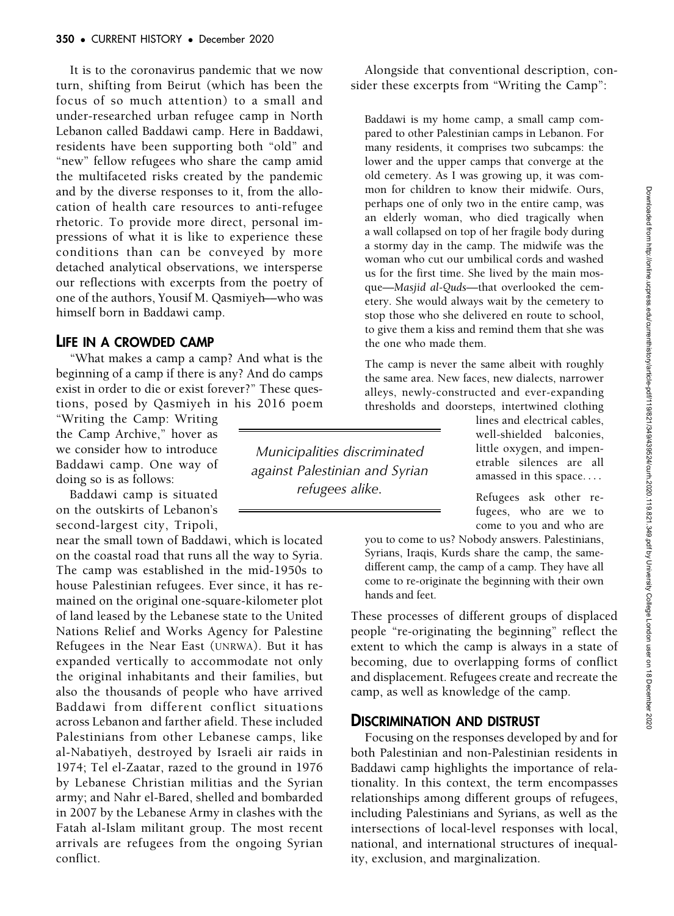It is to the coronavirus pandemic that we now turn, shifting from Beirut (which has been the focus of so much attention) to a small and under-researched urban refugee camp in North Lebanon called Baddawi camp. Here in Baddawi, residents have been supporting both "old" and "new" fellow refugees who share the camp amid the multifaceted risks created by the pandemic and by the diverse responses to it, from the allocation of health care resources to anti-refugee rhetoric. To provide more direct, personal impressions of what it is like to experience these conditions than can be conveyed by more detached analytical observations, we intersperse our reflections with excerpts from the poetry of one of the authors, Yousif M. Qasmiyeh––who was himself born in Baddawi camp.

## LIFE IN A CROWDED CAMP

"What makes a camp a camp? And what is the beginning of a camp if there is any? And do camps exist in order to die or exist forever?" These questions, posed by Qasmiyeh in his 2016 poem

"Writing the Camp: Writing the Camp Archive," hover as we consider how to introduce Baddawi camp. One way of doing so is as follows:

Baddawi camp is situated on the outskirts of Lebanon's second-largest city, Tripoli,

near the small town of Baddawi, which is located on the coastal road that runs all the way to Syria. The camp was established in the mid-1950s to house Palestinian refugees. Ever since, it has remained on the original one-square-kilometer plot of land leased by the Lebanese state to the United Nations Relief and Works Agency for Palestine Refugees in the Near East (UNRWA). But it has expanded vertically to accommodate not only the original inhabitants and their families, but also the thousands of people who have arrived Baddawi from different conflict situations across Lebanon and farther afield. These included Palestinians from other Lebanese camps, like al-Nabatiyeh, destroyed by Israeli air raids in 1974; Tel el-Zaatar, razed to the ground in 1976 by Lebanese Christian militias and the Syrian army; and Nahr el-Bared, shelled and bombarded in 2007 by the Lebanese Army in clashes with the Fatah al-Islam militant group. The most recent arrivals are refugees from the ongoing Syrian conflict.

Alongside that conventional description, consider these excerpts from "Writing the Camp":

Baddawi is my home camp, a small camp compared to other Palestinian camps in Lebanon. For many residents, it comprises two subcamps: the lower and the upper camps that converge at the old cemetery. As I was growing up, it was common for children to know their midwife. Ours, perhaps one of only two in the entire camp, was an elderly woman, who died tragically when a wall collapsed on top of her fragile body during a stormy day in the camp. The midwife was the woman who cut our umbilical cords and washed us for the first time. She lived by the main mosque—Masjid al-Quds—that overlooked the cemetery. She would always wait by the cemetery to stop those who she delivered en route to school, to give them a kiss and remind them that she was the one who made them.

The camp is never the same albeit with roughly the same area. New faces, new dialects, narrower alleys, newly-constructed and ever-expanding thresholds and doorsteps, intertwined clothing

Municipalities discriminated against Palestinian and Syrian refugees alike.

lines and electrical cables, well-shielded balconies, little oxygen, and impenetrable silences are all amassed in this space. ...

Refugees ask other refugees, who are we to come to you and who are

you to come to us? Nobody answers. Palestinians, Syrians, Iraqis, Kurds share the camp, the samedifferent camp, the camp of a camp. They have all come to re-originate the beginning with their own hands and feet.

These processes of different groups of displaced people "re-originating the beginning" reflect the extent to which the camp is always in a state of becoming, due to overlapping forms of conflict and displacement. Refugees create and recreate the camp, as well as knowledge of the camp.

# DISCRIMINATION AND DISTRUST

Focusing on the responses developed by and for both Palestinian and non-Palestinian residents in Baddawi camp highlights the importance of relationality. In this context, the term encompasses relationships among different groups of refugees, including Palestinians and Syrians, as well as the intersections of local-level responses with local, national, and international structures of inequality, exclusion, and marginalization.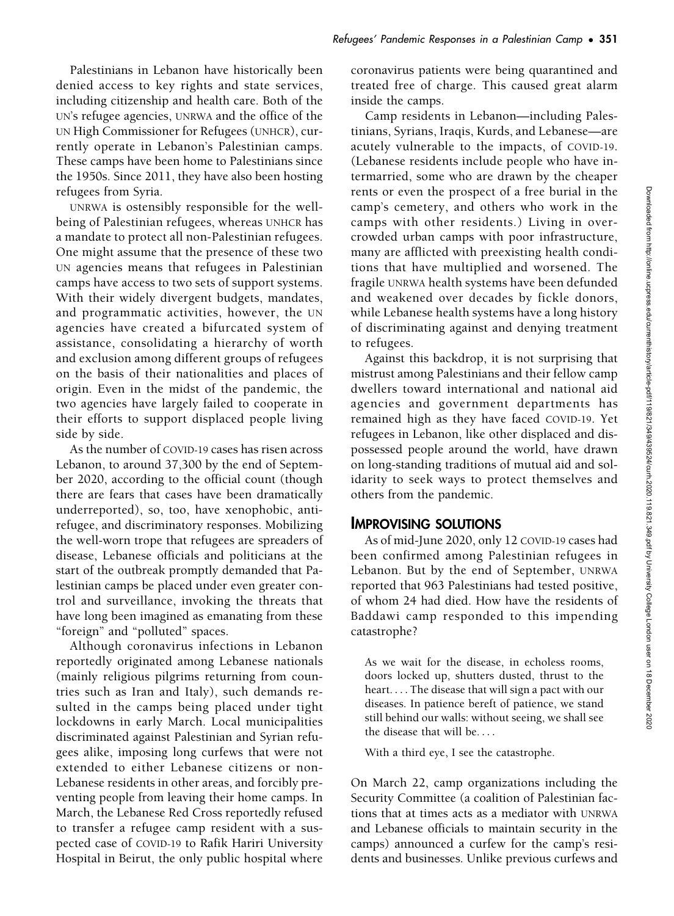Palestinians in Lebanon have historically been denied access to key rights and state services, including citizenship and health care. Both of the UN's refugee agencies, UNRWA and the office of the UN High Commissioner for Refugees (UNHCR), currently operate in Lebanon's Palestinian camps. These camps have been home to Palestinians since the 1950s. Since 2011, they have also been hosting refugees from Syria.

UNRWA is ostensibly responsible for the wellbeing of Palestinian refugees, whereas UNHCR has a mandate to protect all non-Palestinian refugees. One might assume that the presence of these two UN agencies means that refugees in Palestinian camps have access to two sets of support systems. With their widely divergent budgets, mandates, and programmatic activities, however, the UN agencies have created a bifurcated system of assistance, consolidating a hierarchy of worth and exclusion among different groups of refugees on the basis of their nationalities and places of origin. Even in the midst of the pandemic, the two agencies have largely failed to cooperate in their efforts to support displaced people living side by side.

As the number of COVID-19 cases has risen across Lebanon, to around 37,300 by the end of September 2020, according to the official count (though there are fears that cases have been dramatically underreported), so, too, have xenophobic, antirefugee, and discriminatory responses. Mobilizing the well-worn trope that refugees are spreaders of disease, Lebanese officials and politicians at the start of the outbreak promptly demanded that Palestinian camps be placed under even greater control and surveillance, invoking the threats that have long been imagined as emanating from these "foreign" and "polluted" spaces.

Although coronavirus infections in Lebanon reportedly originated among Lebanese nationals (mainly religious pilgrims returning from countries such as Iran and Italy), such demands resulted in the camps being placed under tight lockdowns in early March. Local municipalities discriminated against Palestinian and Syrian refugees alike, imposing long curfews that were not extended to either Lebanese citizens or non-Lebanese residents in other areas, and forcibly preventing people from leaving their home camps. In March, the Lebanese Red Cross reportedly refused to transfer a refugee camp resident with a suspected case of COVID-19 to Rafik Hariri University Hospital in Beirut, the only public hospital where

coronavirus patients were being quarantined and treated free of charge. This caused great alarm inside the camps.

Camp residents in Lebanon—including Palestinians, Syrians, Iraqis, Kurds, and Lebanese—are acutely vulnerable to the impacts, of COVID-19. (Lebanese residents include people who have intermarried, some who are drawn by the cheaper rents or even the prospect of a free burial in the camp's cemetery, and others who work in the camps with other residents.) Living in overcrowded urban camps with poor infrastructure, many are afflicted with preexisting health conditions that have multiplied and worsened. The fragile UNRWA health systems have been defunded and weakened over decades by fickle donors, while Lebanese health systems have a long history of discriminating against and denying treatment to refugees.

Against this backdrop, it is not surprising that mistrust among Palestinians and their fellow camp dwellers toward international and national aid agencies and government departments has remained high as they have faced COVID-19. Yet refugees in Lebanon, like other displaced and dispossessed people around the world, have drawn on long-standing traditions of mutual aid and solidarity to seek ways to protect themselves and others from the pandemic.

## IMPROVISING SOLUTIONS

As of mid-June 2020, only 12 COVID-19 cases had been confirmed among Palestinian refugees in Lebanon. But by the end of September, UNRWA reported that 963 Palestinians had tested positive, of whom 24 had died. How have the residents of Baddawi camp responded to this impending catastrophe?

As we wait for the disease, in echoless rooms, doors locked up, shutters dusted, thrust to the heart. ... The disease that will sign a pact with our diseases. In patience bereft of patience, we stand still behind our walls: without seeing, we shall see the disease that will be. ...

With a third eye, I see the catastrophe.

On March 22, camp organizations including the Security Committee (a coalition of Palestinian factions that at times acts as a mediator with UNRWA and Lebanese officials to maintain security in the camps) announced a curfew for the camp's residents and businesses. Unlike previous curfews and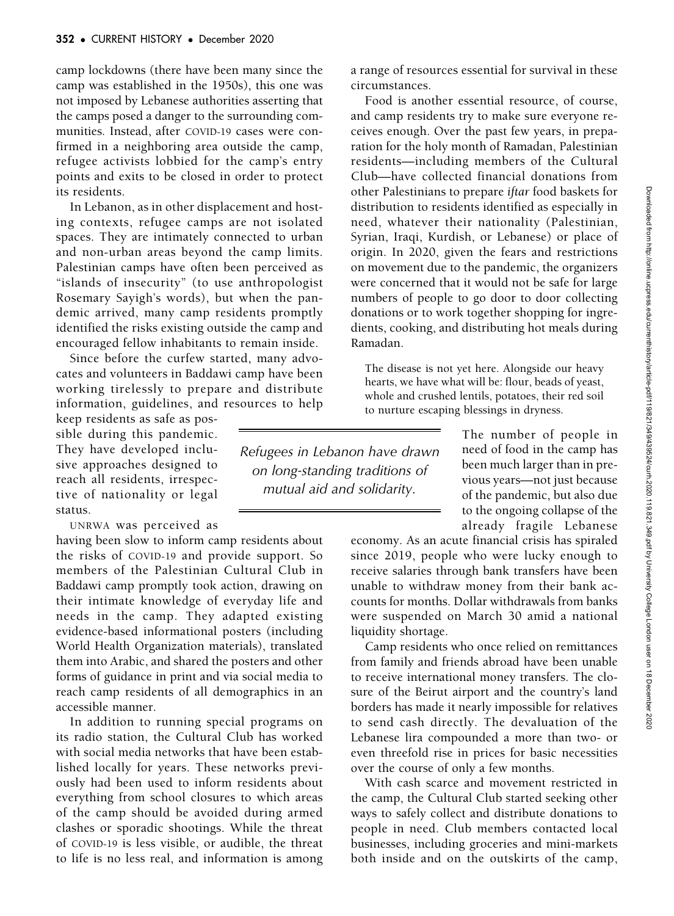camp lockdowns (there have been many since the camp was established in the 1950s), this one was not imposed by Lebanese authorities asserting that the camps posed a danger to the surrounding communities. Instead, after COVID-19 cases were confirmed in a neighboring area outside the camp, refugee activists lobbied for the camp's entry points and exits to be closed in order to protect its residents.

In Lebanon, as in other displacement and hosting contexts, refugee camps are not isolated spaces. They are intimately connected to urban and non-urban areas beyond the camp limits. Palestinian camps have often been perceived as "islands of insecurity" (to use anthropologist Rosemary Sayigh's words), but when the pandemic arrived, many camp residents promptly identified the risks existing outside the camp and encouraged fellow inhabitants to remain inside.

Since before the curfew started, many advocates and volunteers in Baddawi camp have been working tirelessly to prepare and distribute information, guidelines, and resources to help

keep residents as safe as possible during this pandemic. They have developed inclusive approaches designed to reach all residents, irrespective of nationality or legal status.

UNRWA was perceived as

having been slow to inform camp residents about the risks of COVID-19 and provide support. So members of the Palestinian Cultural Club in Baddawi camp promptly took action, drawing on their intimate knowledge of everyday life and needs in the camp. They adapted existing evidence-based informational posters (including World Health Organization materials), translated them into Arabic, and shared the posters and other forms of guidance in print and via social media to reach camp residents of all demographics in an accessible manner.

In addition to running special programs on its radio station, the Cultural Club has worked with social media networks that have been established locally for years. These networks previously had been used to inform residents about everything from school closures to which areas of the camp should be avoided during armed clashes or sporadic shootings. While the threat of COVID-19 is less visible, or audible, the threat to life is no less real, and information is among a range of resources essential for survival in these circumstances.

Food is another essential resource, of course, and camp residents try to make sure everyone receives enough. Over the past few years, in preparation for the holy month of Ramadan, Palestinian residents—including members of the Cultural Club—have collected financial donations from other Palestinians to prepare iftar food baskets for distribution to residents identified as especially in need, whatever their nationality (Palestinian, Syrian, Iraqi, Kurdish, or Lebanese) or place of origin. In 2020, given the fears and restrictions on movement due to the pandemic, the organizers were concerned that it would not be safe for large numbers of people to go door to door collecting donations or to work together shopping for ingredients, cooking, and distributing hot meals during Ramadan.

The disease is not yet here. Alongside our heavy hearts, we have what will be: flour, beads of yeast, whole and crushed lentils, potatoes, their red soil to nurture escaping blessings in dryness.

Refugees in Lebanon have drawn on long-standing traditions of mutual aid and solidarity.

The number of people in need of food in the camp has been much larger than in previous years—not just because of the pandemic, but also due to the ongoing collapse of the already fragile Lebanese

economy. As an acute financial crisis has spiraled since 2019, people who were lucky enough to receive salaries through bank transfers have been unable to withdraw money from their bank accounts for months. Dollar withdrawals from banks were suspended on March 30 amid a national liquidity shortage.

Camp residents who once relied on remittances from family and friends abroad have been unable to receive international money transfers. The closure of the Beirut airport and the country's land borders has made it nearly impossible for relatives to send cash directly. The devaluation of the Lebanese lira compounded a more than two- or even threefold rise in prices for basic necessities over the course of only a few months.

With cash scarce and movement restricted in the camp, the Cultural Club started seeking other ways to safely collect and distribute donations to people in need. Club members contacted local businesses, including groceries and mini-markets both inside and on the outskirts of the camp,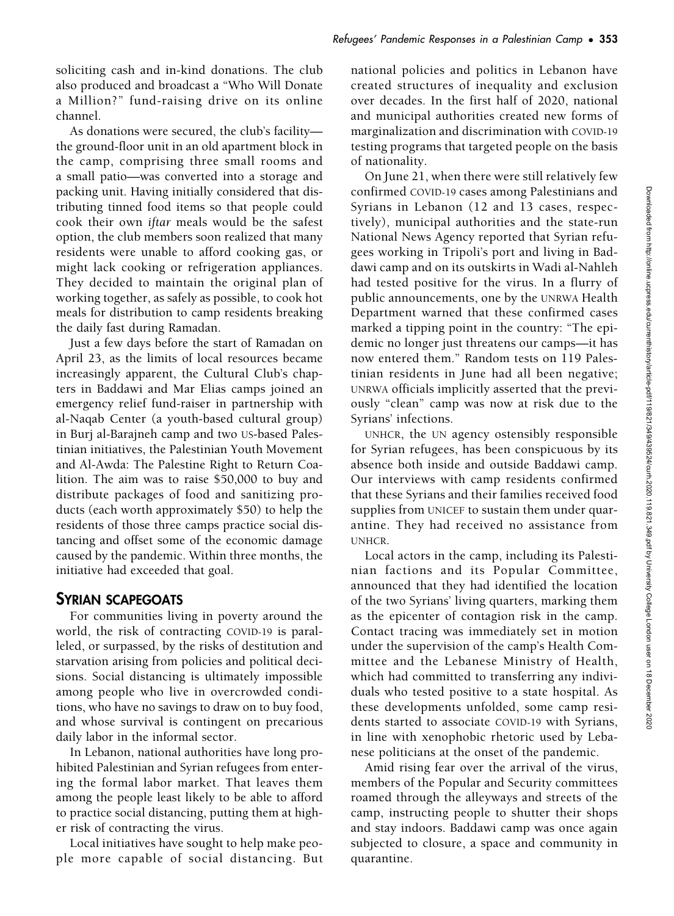soliciting cash and in-kind donations. The club also produced and broadcast a "Who Will Donate a Million?" fund-raising drive on its online channel.

As donations were secured, the club's facility the ground-floor unit in an old apartment block in the camp, comprising three small rooms and a small patio—was converted into a storage and packing unit. Having initially considered that distributing tinned food items so that people could cook their own iftar meals would be the safest option, the club members soon realized that many residents were unable to afford cooking gas, or might lack cooking or refrigeration appliances. They decided to maintain the original plan of working together, as safely as possible, to cook hot meals for distribution to camp residents breaking the daily fast during Ramadan.

Just a few days before the start of Ramadan on April 23, as the limits of local resources became increasingly apparent, the Cultural Club's chapters in Baddawi and Mar Elias camps joined an emergency relief fund-raiser in partnership with al-Naqab Center (a youth-based cultural group) in Burj al-Barajneh camp and two US-based Palestinian initiatives, the Palestinian Youth Movement and Al-Awda: The Palestine Right to Return Coalition. The aim was to raise \$50,000 to buy and distribute packages of food and sanitizing products (each worth approximately \$50) to help the residents of those three camps practice social distancing and offset some of the economic damage caused by the pandemic. Within three months, the initiative had exceeded that goal.

# SYRIAN SCAPEGOATS

For communities living in poverty around the world, the risk of contracting COVID-19 is paralleled, or surpassed, by the risks of destitution and starvation arising from policies and political decisions. Social distancing is ultimately impossible among people who live in overcrowded conditions, who have no savings to draw on to buy food, and whose survival is contingent on precarious daily labor in the informal sector.

In Lebanon, national authorities have long prohibited Palestinian and Syrian refugees from entering the formal labor market. That leaves them among the people least likely to be able to afford to practice social distancing, putting them at higher risk of contracting the virus.

Local initiatives have sought to help make people more capable of social distancing. But national policies and politics in Lebanon have created structures of inequality and exclusion over decades. In the first half of 2020, national and municipal authorities created new forms of marginalization and discrimination with COVID-19 testing programs that targeted people on the basis of nationality.

On June 21, when there were still relatively few confirmed COVID-19 cases among Palestinians and Syrians in Lebanon (12 and 13 cases, respectively), municipal authorities and the state-run National News Agency reported that Syrian refugees working in Tripoli's port and living in Baddawi camp and on its outskirts in Wadi al-Nahleh had tested positive for the virus. In a flurry of public announcements, one by the UNRWA Health Department warned that these confirmed cases marked a tipping point in the country: "The epidemic no longer just threatens our camps—it has now entered them." Random tests on 119 Palestinian residents in June had all been negative; UNRWA officials implicitly asserted that the previously "clean" camp was now at risk due to the Syrians' infections.

UNHCR, the UN agency ostensibly responsible for Syrian refugees, has been conspicuous by its absence both inside and outside Baddawi camp. Our interviews with camp residents confirmed that these Syrians and their families received food supplies from UNICEF to sustain them under quarantine. They had received no assistance from UNHCR.

Local actors in the camp, including its Palestinian factions and its Popular Committee, announced that they had identified the location of the two Syrians' living quarters, marking them as the epicenter of contagion risk in the camp. Contact tracing was immediately set in motion under the supervision of the camp's Health Committee and the Lebanese Ministry of Health, which had committed to transferring any individuals who tested positive to a state hospital. As these developments unfolded, some camp residents started to associate COVID-19 with Syrians, in line with xenophobic rhetoric used by Lebanese politicians at the onset of the pandemic.

Amid rising fear over the arrival of the virus, members of the Popular and Security committees roamed through the alleyways and streets of the camp, instructing people to shutter their shops and stay indoors. Baddawi camp was once again subjected to closure, a space and community in quarantine.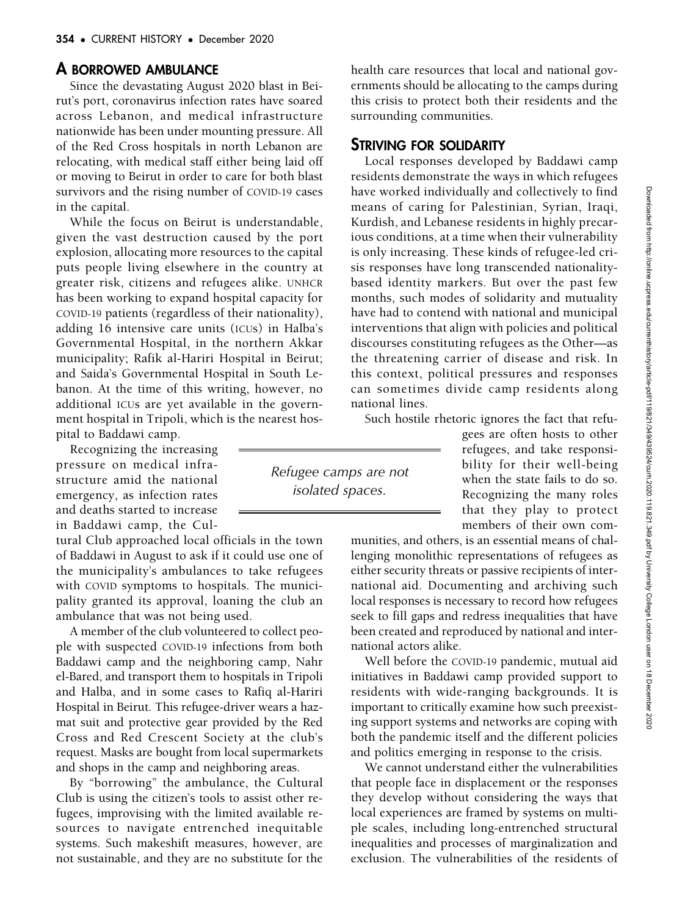## A BORROWED AMBULANCE

Since the devastating August 2020 blast in Beirut's port, coronavirus infection rates have soared across Lebanon, and medical infrastructure nationwide has been under mounting pressure. All of the Red Cross hospitals in north Lebanon are relocating, with medical staff either being laid off or moving to Beirut in order to care for both blast survivors and the rising number of COVID-19 cases in the capital.

While the focus on Beirut is understandable, given the vast destruction caused by the port explosion, allocating more resources to the capital puts people living elsewhere in the country at greater risk, citizens and refugees alike. UNHCR has been working to expand hospital capacity for COVID-19 patients (regardless of their nationality), adding 16 intensive care units (ICUs) in Halba's Governmental Hospital, in the northern Akkar municipality; Rafik al-Hariri Hospital in Beirut; and Saida's Governmental Hospital in South Lebanon. At the time of this writing, however, no additional ICUs are yet available in the government hospital in Tripoli, which is the nearest hospital to Baddawi camp.

Recognizing the increasing pressure on medical infrastructure amid the national emergency, as infection rates and deaths started to increase in Baddawi camp, the Cul-

tural Club approached local officials in the town of Baddawi in August to ask if it could use one of the municipality's ambulances to take refugees with COVID symptoms to hospitals. The municipality granted its approval, loaning the club an ambulance that was not being used.

A member of the club volunteered to collect people with suspected COVID-19 infections from both Baddawi camp and the neighboring camp, Nahr el-Bared, and transport them to hospitals in Tripoli and Halba, and in some cases to Rafiq al-Hariri Hospital in Beirut. This refugee-driver wears a hazmat suit and protective gear provided by the Red Cross and Red Crescent Society at the club's request. Masks are bought from local supermarkets and shops in the camp and neighboring areas.

By "borrowing" the ambulance, the Cultural Club is using the citizen's tools to assist other refugees, improvising with the limited available resources to navigate entrenched inequitable systems. Such makeshift measures, however, are not sustainable, and they are no substitute for the

health care resources that local and national governments should be allocating to the camps during this crisis to protect both their residents and the surrounding communities.

### STRIVING FOR SOLIDARITY

Local responses developed by Baddawi camp residents demonstrate the ways in which refugees have worked individually and collectively to find means of caring for Palestinian, Syrian, Iraqi, Kurdish, and Lebanese residents in highly precarious conditions, at a time when their vulnerability is only increasing. These kinds of refugee-led crisis responses have long transcended nationalitybased identity markers. But over the past few months, such modes of solidarity and mutuality have had to contend with national and municipal interventions that align with policies and political discourses constituting refugees as the Other—as the threatening carrier of disease and risk. In this context, political pressures and responses can sometimes divide camp residents along national lines.

Such hostile rhetoric ignores the fact that refu-

Refugee camps are not isolated spaces.

gees are often hosts to other refugees, and take responsibility for their well-being when the state fails to do so. Recognizing the many roles that they play to protect members of their own com-

munities, and others, is an essential means of challenging monolithic representations of refugees as either security threats or passive recipients of international aid. Documenting and archiving such local responses is necessary to record how refugees seek to fill gaps and redress inequalities that have been created and reproduced by national and international actors alike.

Well before the COVID-19 pandemic, mutual aid initiatives in Baddawi camp provided support to residents with wide-ranging backgrounds. It is important to critically examine how such preexisting support systems and networks are coping with both the pandemic itself and the different policies and politics emerging in response to the crisis.

We cannot understand either the vulnerabilities that people face in displacement or the responses they develop without considering the ways that local experiences are framed by systems on multiple scales, including long-entrenched structural inequalities and processes of marginalization and exclusion. The vulnerabilities of the residents of